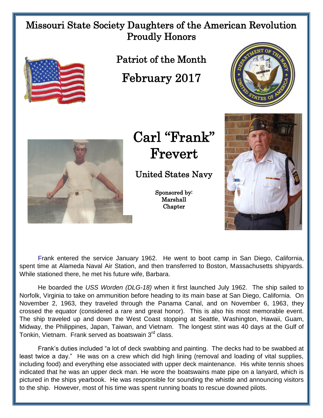## Missouri State Society Daughters of the American Revolution Proudly Honors



Patriot of the Month

February 2017

Carl "Frank" Frevert

United States Navy

Sponsored by: Marshall **Chapter** 





Frank entered the service January 1962. He went to boot camp in San Diego, California, spent time at Alameda Naval Air Station, and then transferred to Boston, Massachusetts shipyards. While stationed there, he met his future wife, Barbara.

He boarded the *USS Worden (DLG-18)* when it first launched July 1962. The ship sailed to Norfolk, Virginia to take on ammunition before heading to its main base at San Diego, California. On November 2, 1963, they traveled through the Panama Canal, and on November 6, 1963, they crossed the equator (considered a rare and great honor). This is also his most memorable event. The ship traveled up and down the West Coast stopping at Seattle, Washington, Hawaii, Guam, Midway, the Philippines, Japan, Taiwan, and Vietnam. The longest stint was 40 days at the Gulf of Tonkin, Vietnam. Frank served as boatswain 3rd class.

Frank's duties included "a lot of deck swabbing and painting. The decks had to be swabbed at least twice a day." He was on a crew which did high lining (removal and loading of vital supplies, including food) and everything else associated with upper deck maintenance. His white tennis shoes indicated that he was an upper deck man. He wore the boatswains mate pipe on a lanyard, which is pictured in the ships yearbook. He was responsible for sounding the whistle and announcing visitors to the ship. However, most of his time was spent running boats to rescue downed pilots.